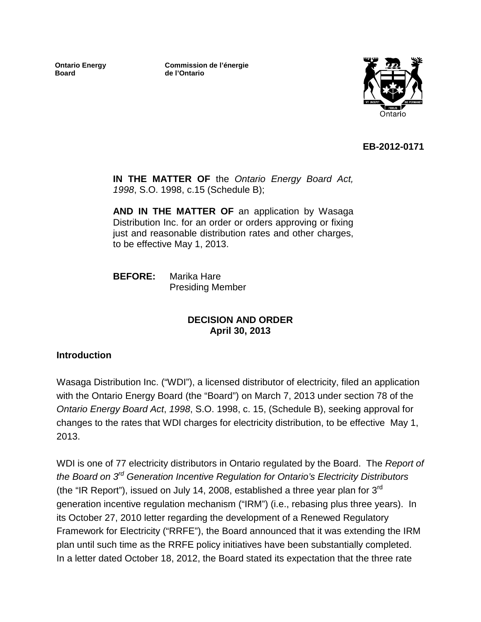**Ontario Energy Board**

**Commission de l'énergie de l'Ontario**



**EB-2012-0171**

**IN THE MATTER OF** the *Ontario Energy Board Act, 1998*, S.O. 1998, c.15 (Schedule B);

**AND IN THE MATTER OF** an application by Wasaga Distribution Inc. for an order or orders approving or fixing just and reasonable distribution rates and other charges, to be effective May 1, 2013.

**BEFORE:** Marika Hare Presiding Member

#### **DECISION AND ORDER April 30, 2013**

#### **Introduction**

Wasaga Distribution Inc. ("WDI"), a licensed distributor of electricity, filed an application with the Ontario Energy Board (the "Board") on March 7, 2013 under section 78 of the *Ontario Energy Board Act*, *1998*, S.O. 1998, c. 15, (Schedule B), seeking approval for changes to the rates that WDI charges for electricity distribution, to be effective May 1, 2013.

WDI is one of 77 electricity distributors in Ontario regulated by the Board. The *Report of the Board on 3rd Generation Incentive Regulation for Ontario's Electricity Distributors*  (the "IR Report"), issued on July 14, 2008, established a three year plan for  $3<sup>rd</sup>$ generation incentive regulation mechanism ("IRM") (i.e., rebasing plus three years). In its October 27, 2010 letter regarding the development of a Renewed Regulatory Framework for Electricity ("RRFE"), the Board announced that it was extending the IRM plan until such time as the RRFE policy initiatives have been substantially completed. In a letter dated October 18, 2012, the Board stated its expectation that the three rate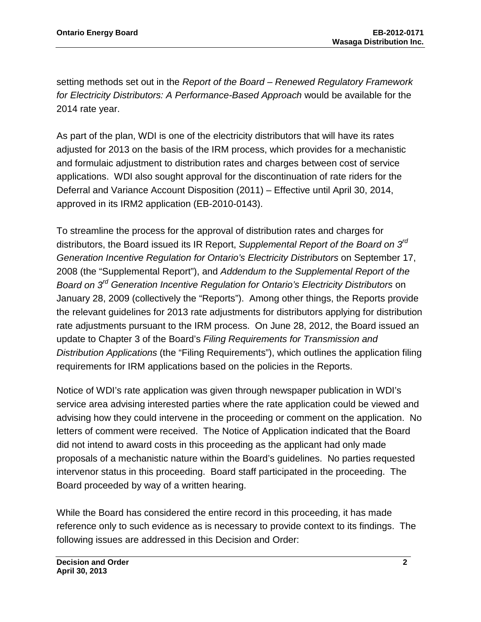setting methods set out in the *Report of the Board – Renewed Regulatory Framework for Electricity Distributors: A Performance-Based Approach* would be available for the 2014 rate year.

As part of the plan, WDI is one of the electricity distributors that will have its rates adjusted for 2013 on the basis of the IRM process, which provides for a mechanistic and formulaic adjustment to distribution rates and charges between cost of service applications. WDI also sought approval for the discontinuation of rate riders for the Deferral and Variance Account Disposition (2011) – Effective until April 30, 2014, approved in its IRM2 application (EB-2010-0143).

To streamline the process for the approval of distribution rates and charges for distributors, the Board issued its IR Report, *Supplemental Report of the Board on 3rd Generation Incentive Regulation for Ontario's Electricity Distributors* on September 17, 2008 (the "Supplemental Report"), and *Addendum to the Supplemental Report of the Board on 3rd Generation Incentive Regulation for Ontario's Electricity Distributors* on January 28, 2009 (collectively the "Reports"). Among other things, the Reports provide the relevant guidelines for 2013 rate adjustments for distributors applying for distribution rate adjustments pursuant to the IRM process. On June 28, 2012, the Board issued an update to Chapter 3 of the Board's *Filing Requirements for Transmission and Distribution Applications* (the "Filing Requirements"), which outlines the application filing requirements for IRM applications based on the policies in the Reports.

Notice of WDI's rate application was given through newspaper publication in WDI's service area advising interested parties where the rate application could be viewed and advising how they could intervene in the proceeding or comment on the application. No letters of comment were received. The Notice of Application indicated that the Board did not intend to award costs in this proceeding as the applicant had only made proposals of a mechanistic nature within the Board's guidelines. No parties requested intervenor status in this proceeding. Board staff participated in the proceeding. The Board proceeded by way of a written hearing.

While the Board has considered the entire record in this proceeding, it has made reference only to such evidence as is necessary to provide context to its findings. The following issues are addressed in this Decision and Order: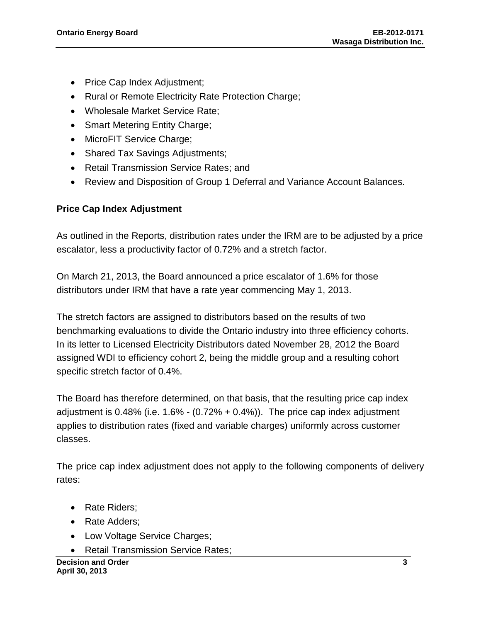- Price Cap Index Adjustment;
- Rural or Remote Electricity Rate Protection Charge;
- Wholesale Market Service Rate;
- Smart Metering Entity Charge;
- MicroFIT Service Charge;
- Shared Tax Savings Adjustments;
- Retail Transmission Service Rates; and
- Review and Disposition of Group 1 Deferral and Variance Account Balances.

### **Price Cap Index Adjustment**

As outlined in the Reports, distribution rates under the IRM are to be adjusted by a price escalator, less a productivity factor of 0.72% and a stretch factor.

On March 21, 2013, the Board announced a price escalator of 1.6% for those distributors under IRM that have a rate year commencing May 1, 2013.

The stretch factors are assigned to distributors based on the results of two benchmarking evaluations to divide the Ontario industry into three efficiency cohorts. In its letter to Licensed Electricity Distributors dated November 28, 2012 the Board assigned WDI to efficiency cohort 2, being the middle group and a resulting cohort specific stretch factor of 0.4%.

The Board has therefore determined, on that basis, that the resulting price cap index adjustment is  $0.48\%$  (i.e.  $1.6\%$  -  $(0.72\% + 0.4\%)$ ). The price cap index adjustment applies to distribution rates (fixed and variable charges) uniformly across customer classes.

The price cap index adjustment does not apply to the following components of delivery rates:

- Rate Riders:
- Rate Adders;
- Low Voltage Service Charges;
- Retail Transmission Service Rates: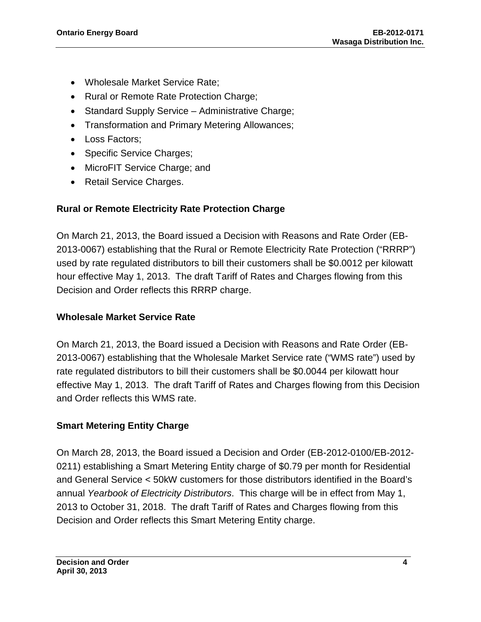- Wholesale Market Service Rate;
- Rural or Remote Rate Protection Charge;
- Standard Supply Service Administrative Charge;
- Transformation and Primary Metering Allowances;
- Loss Factors:
- Specific Service Charges;
- MicroFIT Service Charge; and
- Retail Service Charges.

### **Rural or Remote Electricity Rate Protection Charge**

On March 21, 2013, the Board issued a Decision with Reasons and Rate Order (EB-2013-0067) establishing that the Rural or Remote Electricity Rate Protection ("RRRP") used by rate regulated distributors to bill their customers shall be \$0.0012 per kilowatt hour effective May 1, 2013. The draft Tariff of Rates and Charges flowing from this Decision and Order reflects this RRRP charge.

### **Wholesale Market Service Rate**

On March 21, 2013, the Board issued a Decision with Reasons and Rate Order (EB-2013-0067) establishing that the Wholesale Market Service rate ("WMS rate") used by rate regulated distributors to bill their customers shall be \$0.0044 per kilowatt hour effective May 1, 2013. The draft Tariff of Rates and Charges flowing from this Decision and Order reflects this WMS rate.

### **Smart Metering Entity Charge**

On March 28, 2013, the Board issued a Decision and Order (EB-2012-0100/EB-2012- 0211) establishing a Smart Metering Entity charge of \$0.79 per month for Residential and General Service < 50kW customers for those distributors identified in the Board's annual *Yearbook of Electricity Distributors*. This charge will be in effect from May 1, 2013 to October 31, 2018. The draft Tariff of Rates and Charges flowing from this Decision and Order reflects this Smart Metering Entity charge.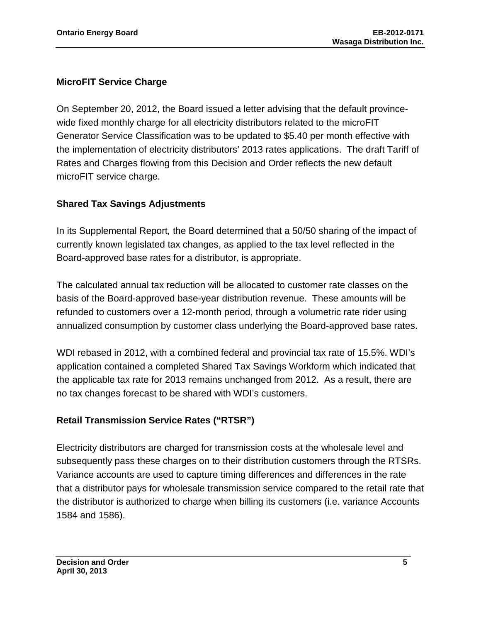### **MicroFIT Service Charge**

On September 20, 2012, the Board issued a letter advising that the default provincewide fixed monthly charge for all electricity distributors related to the microFIT Generator Service Classification was to be updated to \$5.40 per month effective with the implementation of electricity distributors' 2013 rates applications. The draft Tariff of Rates and Charges flowing from this Decision and Order reflects the new default microFIT service charge.

### **Shared Tax Savings Adjustments**

In its Supplemental Report*,* the Board determined that a 50/50 sharing of the impact of currently known legislated tax changes, as applied to the tax level reflected in the Board-approved base rates for a distributor, is appropriate.

The calculated annual tax reduction will be allocated to customer rate classes on the basis of the Board-approved base-year distribution revenue. These amounts will be refunded to customers over a 12-month period, through a volumetric rate rider using annualized consumption by customer class underlying the Board-approved base rates.

WDI rebased in 2012, with a combined federal and provincial tax rate of 15.5%. WDI's application contained a completed Shared Tax Savings Workform which indicated that the applicable tax rate for 2013 remains unchanged from 2012. As a result, there are no tax changes forecast to be shared with WDI's customers.

### **Retail Transmission Service Rates ("RTSR")**

Electricity distributors are charged for transmission costs at the wholesale level and subsequently pass these charges on to their distribution customers through the RTSRs. Variance accounts are used to capture timing differences and differences in the rate that a distributor pays for wholesale transmission service compared to the retail rate that the distributor is authorized to charge when billing its customers (i.e. variance Accounts 1584 and 1586).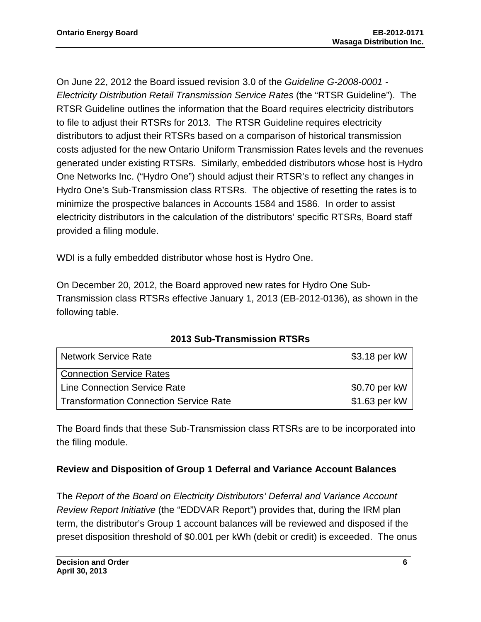On June 22, 2012 the Board issued revision 3.0 of the *Guideline G-2008-0001 - Electricity Distribution Retail Transmission Service Rates* (the "RTSR Guideline"). The RTSR Guideline outlines the information that the Board requires electricity distributors to file to adjust their RTSRs for 2013. The RTSR Guideline requires electricity distributors to adjust their RTSRs based on a comparison of historical transmission costs adjusted for the new Ontario Uniform Transmission Rates levels and the revenues generated under existing RTSRs. Similarly, embedded distributors whose host is Hydro One Networks Inc. ("Hydro One") should adjust their RTSR's to reflect any changes in Hydro One's Sub-Transmission class RTSRs. The objective of resetting the rates is to minimize the prospective balances in Accounts 1584 and 1586. In order to assist electricity distributors in the calculation of the distributors' specific RTSRs, Board staff provided a filing module.

WDI is a fully embedded distributor whose host is Hydro One.

On December 20, 2012, the Board approved new rates for Hydro One Sub-Transmission class RTSRs effective January 1, 2013 (EB-2012-0136), as shown in the following table.

| <b>Network Service Rate</b>                   | \$3.18 per kW  |
|-----------------------------------------------|----------------|
| <b>Connection Service Rates</b>               |                |
| <b>Line Connection Service Rate</b>           | $$0.70$ per kW |
| <b>Transformation Connection Service Rate</b> | \$1.63 per kW  |

**2013 Sub-Transmission RTSRs**

The Board finds that these Sub-Transmission class RTSRs are to be incorporated into the filing module.

### **Review and Disposition of Group 1 Deferral and Variance Account Balances**

The *Report of the Board on Electricity Distributors' Deferral and Variance Account Review Report Initiative* (the "EDDVAR Report") provides that, during the IRM plan term, the distributor's Group 1 account balances will be reviewed and disposed if the preset disposition threshold of \$0.001 per kWh (debit or credit) is exceeded. The onus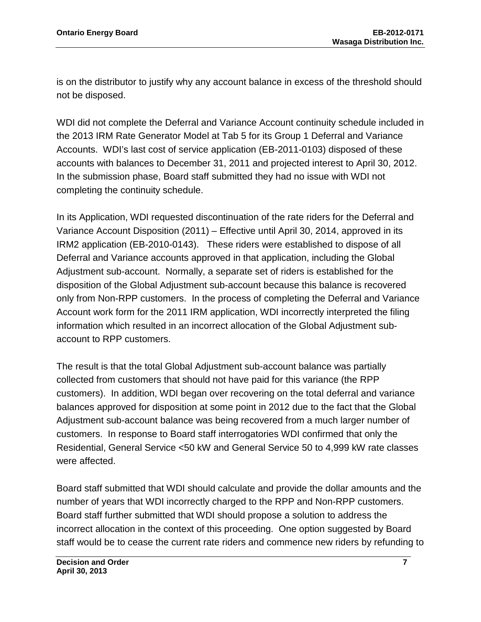is on the distributor to justify why any account balance in excess of the threshold should not be disposed.

WDI did not complete the Deferral and Variance Account continuity schedule included in the 2013 IRM Rate Generator Model at Tab 5 for its Group 1 Deferral and Variance Accounts. WDI's last cost of service application (EB-2011-0103) disposed of these accounts with balances to December 31, 2011 and projected interest to April 30, 2012. In the submission phase, Board staff submitted they had no issue with WDI not completing the continuity schedule.

In its Application, WDI requested discontinuation of the rate riders for the Deferral and Variance Account Disposition (2011) – Effective until April 30, 2014, approved in its IRM2 application (EB-2010-0143). These riders were established to dispose of all Deferral and Variance accounts approved in that application, including the Global Adjustment sub-account. Normally, a separate set of riders is established for the disposition of the Global Adjustment sub-account because this balance is recovered only from Non-RPP customers. In the process of completing the Deferral and Variance Account work form for the 2011 IRM application, WDI incorrectly interpreted the filing information which resulted in an incorrect allocation of the Global Adjustment subaccount to RPP customers.

The result is that the total Global Adjustment sub-account balance was partially collected from customers that should not have paid for this variance (the RPP customers). In addition, WDI began over recovering on the total deferral and variance balances approved for disposition at some point in 2012 due to the fact that the Global Adjustment sub-account balance was being recovered from a much larger number of customers. In response to Board staff interrogatories WDI confirmed that only the Residential, General Service <50 kW and General Service 50 to 4,999 kW rate classes were affected.

Board staff submitted that WDI should calculate and provide the dollar amounts and the number of years that WDI incorrectly charged to the RPP and Non-RPP customers. Board staff further submitted that WDI should propose a solution to address the incorrect allocation in the context of this proceeding. One option suggested by Board staff would be to cease the current rate riders and commence new riders by refunding to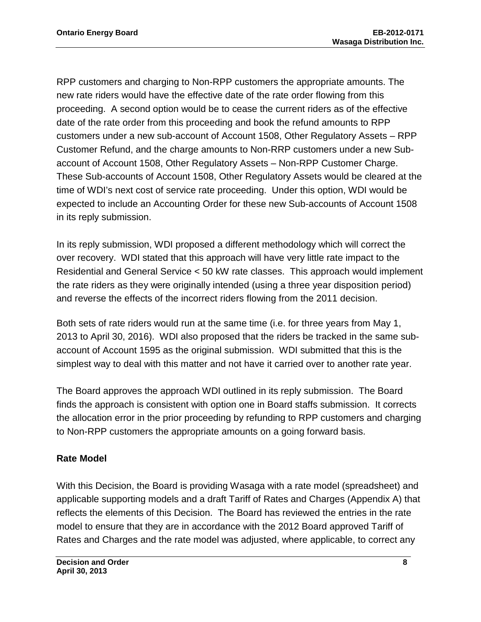RPP customers and charging to Non-RPP customers the appropriate amounts. The new rate riders would have the effective date of the rate order flowing from this proceeding. A second option would be to cease the current riders as of the effective date of the rate order from this proceeding and book the refund amounts to RPP customers under a new sub-account of Account 1508, Other Regulatory Assets – RPP Customer Refund, and the charge amounts to Non-RRP customers under a new Subaccount of Account 1508, Other Regulatory Assets – Non-RPP Customer Charge. These Sub-accounts of Account 1508, Other Regulatory Assets would be cleared at the time of WDI's next cost of service rate proceeding. Under this option, WDI would be expected to include an Accounting Order for these new Sub-accounts of Account 1508 in its reply submission.

In its reply submission, WDI proposed a different methodology which will correct the over recovery. WDI stated that this approach will have very little rate impact to the Residential and General Service < 50 kW rate classes. This approach would implement the rate riders as they were originally intended (using a three year disposition period) and reverse the effects of the incorrect riders flowing from the 2011 decision.

Both sets of rate riders would run at the same time (i.e. for three years from May 1, 2013 to April 30, 2016). WDI also proposed that the riders be tracked in the same subaccount of Account 1595 as the original submission. WDI submitted that this is the simplest way to deal with this matter and not have it carried over to another rate year.

The Board approves the approach WDI outlined in its reply submission. The Board finds the approach is consistent with option one in Board staffs submission. It corrects the allocation error in the prior proceeding by refunding to RPP customers and charging to Non-RPP customers the appropriate amounts on a going forward basis.

### **Rate Model**

With this Decision, the Board is providing Wasaga with a rate model (spreadsheet) and applicable supporting models and a draft Tariff of Rates and Charges (Appendix A) that reflects the elements of this Decision. The Board has reviewed the entries in the rate model to ensure that they are in accordance with the 2012 Board approved Tariff of Rates and Charges and the rate model was adjusted, where applicable, to correct any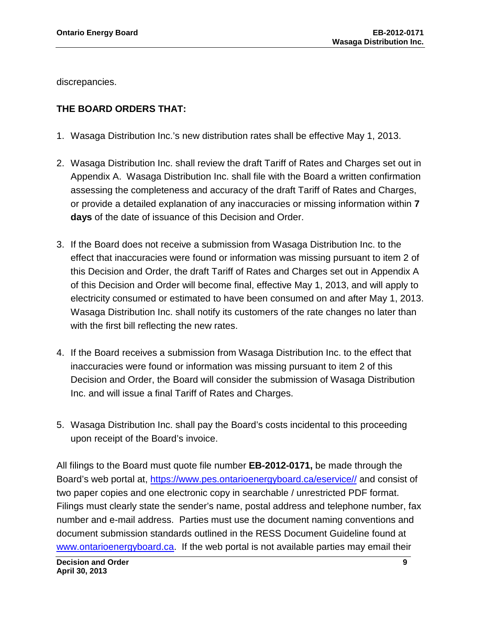discrepancies.

### **THE BOARD ORDERS THAT:**

- 1. Wasaga Distribution Inc.'s new distribution rates shall be effective May 1, 2013.
- 2. Wasaga Distribution Inc. shall review the draft Tariff of Rates and Charges set out in Appendix A. Wasaga Distribution Inc. shall file with the Board a written confirmation assessing the completeness and accuracy of the draft Tariff of Rates and Charges, or provide a detailed explanation of any inaccuracies or missing information within **7 days** of the date of issuance of this Decision and Order.
- 3. If the Board does not receive a submission from Wasaga Distribution Inc. to the effect that inaccuracies were found or information was missing pursuant to item 2 of this Decision and Order, the draft Tariff of Rates and Charges set out in Appendix A of this Decision and Order will become final, effective May 1, 2013, and will apply to electricity consumed or estimated to have been consumed on and after May 1, 2013. Wasaga Distribution Inc. shall notify its customers of the rate changes no later than with the first bill reflecting the new rates.
- 4. If the Board receives a submission from Wasaga Distribution Inc. to the effect that inaccuracies were found or information was missing pursuant to item 2 of this Decision and Order, the Board will consider the submission of Wasaga Distribution Inc. and will issue a final Tariff of Rates and Charges.
- 5. Wasaga Distribution Inc. shall pay the Board's costs incidental to this proceeding upon receipt of the Board's invoice.

All filings to the Board must quote file number **EB-2012-0171,** be made through the Board's web portal at, [https://www.pes.ontarioenergyboard.ca/eservice//](https://www.pes.ontarioenergyboard.ca/eservice/) and consist of two paper copies and one electronic copy in searchable / unrestricted PDF format. Filings must clearly state the sender's name, postal address and telephone number, fax number and e-mail address. Parties must use the document naming conventions and document submission standards outlined in the RESS Document Guideline found at [www.ontarioenergyboard.ca.](http://www.ontarioenergyboard.ca/) If the web portal is not available parties may email their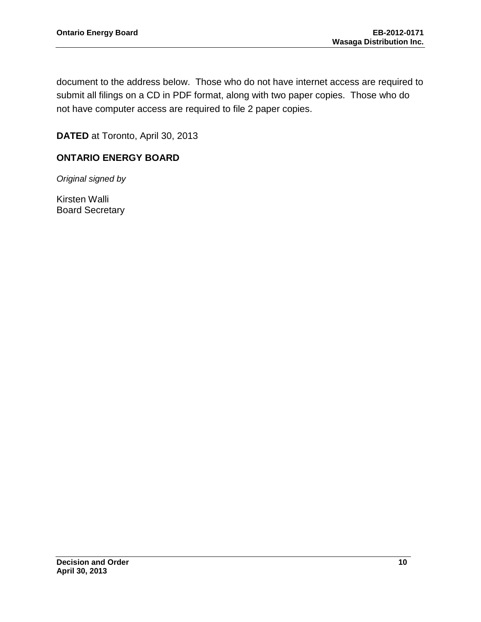document to the address below. Those who do not have internet access are required to submit all filings on a CD in PDF format, along with two paper copies. Those who do not have computer access are required to file 2 paper copies.

**DATED** at Toronto, April 30, 2013

### **ONTARIO ENERGY BOARD**

*Original signed by*

Kirsten Walli Board Secretary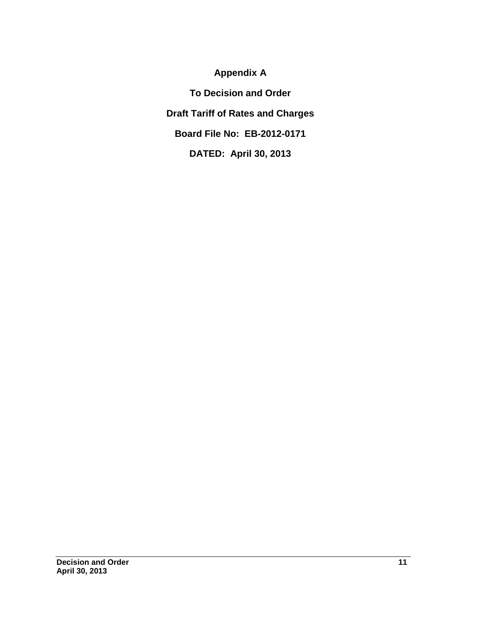## **Appendix A**

**To Decision and Order Draft Tariff of Rates and Charges Board File No: EB-2012-0171 DATED: April 30, 2013**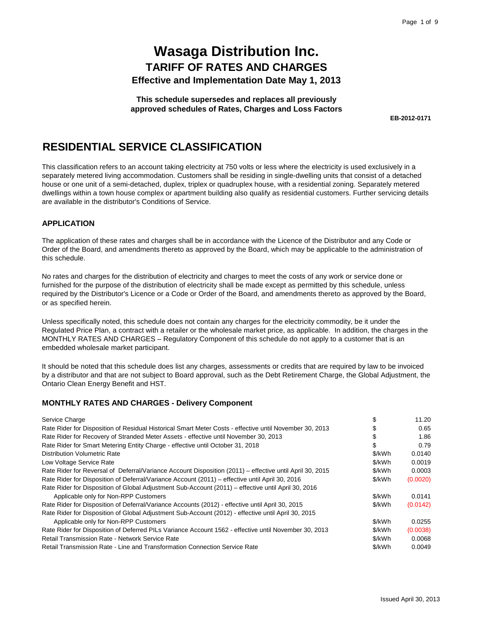**This schedule supersedes and replaces all previously approved schedules of Rates, Charges and Loss Factors**

**EB-2012-0171** 

## **RESIDENTIAL SERVICE CLASSIFICATION**

This classification refers to an account taking electricity at 750 volts or less where the electricity is used exclusively in a separately metered living accommodation. Customers shall be residing in single-dwelling units that consist of a detached house or one unit of a semi-detached, duplex, triplex or quadruplex house, with a residential zoning. Separately metered dwellings within a town house complex or apartment building also qualify as residential customers. Further servicing details are available in the distributor's Conditions of Service.

#### **APPLICATION**

The application of these rates and charges shall be in accordance with the Licence of the Distributor and any Code or Order of the Board, and amendments thereto as approved by the Board, which may be applicable to the administration of this schedule.

No rates and charges for the distribution of electricity and charges to meet the costs of any work or service done or furnished for the purpose of the distribution of electricity shall be made except as permitted by this schedule, unless required by the Distributor's Licence or a Code or Order of the Board, and amendments thereto as approved by the Board, or as specified herein.

Unless specifically noted, this schedule does not contain any charges for the electricity commodity, be it under the Regulated Price Plan, a contract with a retailer or the wholesale market price, as applicable. In addition, the charges in the MONTHLY RATES AND CHARGES – Regulatory Component of this schedule do not apply to a customer that is an embedded wholesale market participant.

It should be noted that this schedule does list any charges, assessments or credits that are required by law to be invoiced by a distributor and that are not subject to Board approval, such as the Debt Retirement Charge, the Global Adjustment, the Ontario Clean Energy Benefit and HST.

#### **MONTHLY RATES AND CHARGES - Delivery Component**

| Service Charge                                                                                           |        | 11.20    |
|----------------------------------------------------------------------------------------------------------|--------|----------|
| Rate Rider for Disposition of Residual Historical Smart Meter Costs - effective until November 30, 2013  |        | 0.65     |
| Rate Rider for Recovery of Stranded Meter Assets - effective until November 30, 2013                     |        | 1.86     |
| Rate Rider for Smart Metering Entity Charge - effective until October 31, 2018                           | S      | 0.79     |
| <b>Distribution Volumetric Rate</b>                                                                      | \$/kWh | 0.0140   |
| Low Voltage Service Rate                                                                                 | \$/kWh | 0.0019   |
| Rate Rider for Reversal of Deferral/Variance Account Disposition (2011) – effective until April 30, 2015 | \$/kWh | 0.0003   |
| Rate Rider for Disposition of Deferral/Variance Account (2011) – effective until April 30, 2016          | \$/kWh | (0.0020) |
| Rate Rider for Disposition of Global Adjustment Sub-Account (2011) – effective until April 30, 2016      |        |          |
| Applicable only for Non-RPP Customers                                                                    | \$/kWh | 0.0141   |
| Rate Rider for Disposition of Deferral/Variance Accounts (2012) - effective until April 30, 2015         | \$/kWh | (0.0142) |
| Rate Rider for Disposition of Global Adjustment Sub-Account (2012) - effective until April 30, 2015      |        |          |
| Applicable only for Non-RPP Customers                                                                    | \$/kWh | 0.0255   |
| Rate Rider for Disposition of Deferred PILs Variance Account 1562 - effective until November 30, 2013    | \$/kWh | (0.0038) |
| Retail Transmission Rate - Network Service Rate                                                          | \$/kWh | 0.0068   |
| Retail Transmission Rate - Line and Transformation Connection Service Rate                               | \$/kWh | 0.0049   |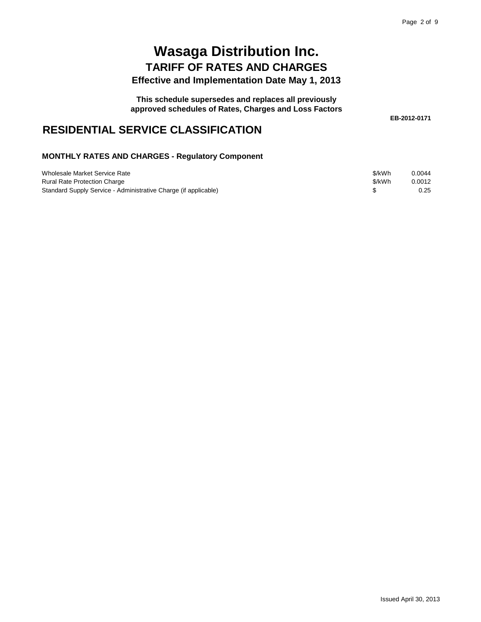**This schedule supersedes and replaces all previously**

**approved schedules of Rates, Charges and Loss Factors**

**EB-2012-0171** 

## **RESIDENTIAL SERVICE CLASSIFICATION**

| Wholesale Market Service Rate                                   | \$/kWh | 0.0044 |
|-----------------------------------------------------------------|--------|--------|
| <b>Rural Rate Protection Charge</b>                             | \$/kWh | 0.0012 |
| Standard Supply Service - Administrative Charge (if applicable) |        | 0.25   |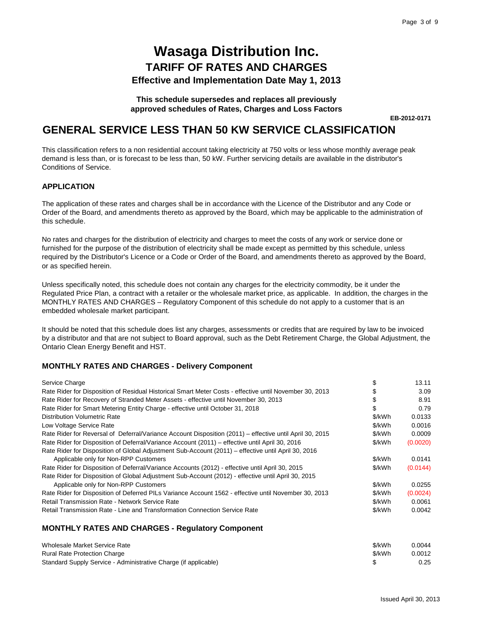#### **This schedule supersedes and replaces all previously approved schedules of Rates, Charges and Loss Factors**

**EB-2012-0171** 

## **GENERAL SERVICE LESS THAN 50 KW SERVICE CLASSIFICATION**

This classification refers to a non residential account taking electricity at 750 volts or less whose monthly average peak demand is less than, or is forecast to be less than, 50 kW. Further servicing details are available in the distributor's Conditions of Service.

#### **APPLICATION**

The application of these rates and charges shall be in accordance with the Licence of the Distributor and any Code or Order of the Board, and amendments thereto as approved by the Board, which may be applicable to the administration of this schedule.

No rates and charges for the distribution of electricity and charges to meet the costs of any work or service done or furnished for the purpose of the distribution of electricity shall be made except as permitted by this schedule, unless required by the Distributor's Licence or a Code or Order of the Board, and amendments thereto as approved by the Board, or as specified herein.

Unless specifically noted, this schedule does not contain any charges for the electricity commodity, be it under the Regulated Price Plan, a contract with a retailer or the wholesale market price, as applicable. In addition, the charges in the MONTHLY RATES AND CHARGES – Regulatory Component of this schedule do not apply to a customer that is an embedded wholesale market participant.

It should be noted that this schedule does list any charges, assessments or credits that are required by law to be invoiced by a distributor and that are not subject to Board approval, such as the Debt Retirement Charge, the Global Adjustment, the Ontario Clean Energy Benefit and HST.

#### **MONTHLY RATES AND CHARGES - Delivery Component**

| Service Charge                                                                                           |        | 13.11    |
|----------------------------------------------------------------------------------------------------------|--------|----------|
| Rate Rider for Disposition of Residual Historical Smart Meter Costs - effective until November 30, 2013  |        | 3.09     |
| Rate Rider for Recovery of Stranded Meter Assets - effective until November 30, 2013                     |        | 8.91     |
| Rate Rider for Smart Metering Entity Charge - effective until October 31, 2018                           | \$     | 0.79     |
| Distribution Volumetric Rate                                                                             | \$/kWh | 0.0133   |
| Low Voltage Service Rate                                                                                 | \$/kWh | 0.0016   |
| Rate Rider for Reversal of Deferral/Variance Account Disposition (2011) – effective until April 30, 2015 | \$/kWh | 0.0009   |
| Rate Rider for Disposition of Deferral/Variance Account (2011) – effective until April 30, 2016          | \$/kWh | (0.0020) |
| Rate Rider for Disposition of Global Adjustment Sub-Account (2011) - effective until April 30, 2016      |        |          |
| Applicable only for Non-RPP Customers                                                                    | \$/kWh | 0.0141   |
| Rate Rider for Disposition of Deferral/Variance Accounts (2012) - effective until April 30, 2015         | \$/kWh | (0.0144) |
| Rate Rider for Disposition of Global Adjustment Sub-Account (2012) - effective until April 30, 2015      |        |          |
| Applicable only for Non-RPP Customers                                                                    | \$/kWh | 0.0255   |
| Rate Rider for Disposition of Deferred PILs Variance Account 1562 - effective until November 30, 2013    | \$/kWh | (0.0024) |
| Retail Transmission Rate - Network Service Rate                                                          | \$/kWh | 0.0061   |
| Retail Transmission Rate - Line and Transformation Connection Service Rate                               | \$/kWh | 0.0042   |
|                                                                                                          |        |          |
| <b>MONTHLY RATES AND CHARGES - Regulatory Component</b>                                                  |        |          |
|                                                                                                          |        |          |

| Wholesale Market Service Rate                                   | \$/kWh | 0.0044 |
|-----------------------------------------------------------------|--------|--------|
| <b>Rural Rate Protection Charge</b>                             | \$/kWh | 0.0012 |
| Standard Supply Service - Administrative Charge (if applicable) |        | 0.25   |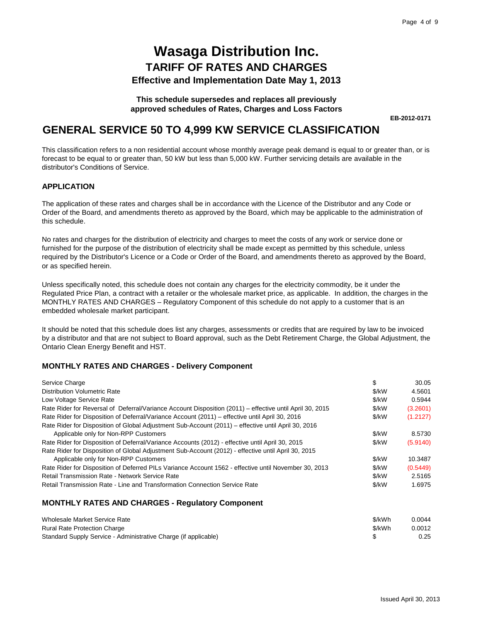**This schedule supersedes and replaces all previously approved schedules of Rates, Charges and Loss Factors**

**EB-2012-0171** 

## **GENERAL SERVICE 50 TO 4,999 KW SERVICE CLASSIFICATION**

This classification refers to a non residential account whose monthly average peak demand is equal to or greater than, or is forecast to be equal to or greater than, 50 kW but less than 5,000 kW. Further servicing details are available in the distributor's Conditions of Service.

#### **APPLICATION**

The application of these rates and charges shall be in accordance with the Licence of the Distributor and any Code or Order of the Board, and amendments thereto as approved by the Board, which may be applicable to the administration of this schedule.

No rates and charges for the distribution of electricity and charges to meet the costs of any work or service done or furnished for the purpose of the distribution of electricity shall be made except as permitted by this schedule, unless required by the Distributor's Licence or a Code or Order of the Board, and amendments thereto as approved by the Board, or as specified herein.

Unless specifically noted, this schedule does not contain any charges for the electricity commodity, be it under the Regulated Price Plan, a contract with a retailer or the wholesale market price, as applicable. In addition, the charges in the MONTHLY RATES AND CHARGES – Regulatory Component of this schedule do not apply to a customer that is an embedded wholesale market participant.

It should be noted that this schedule does list any charges, assessments or credits that are required by law to be invoiced by a distributor and that are not subject to Board approval, such as the Debt Retirement Charge, the Global Adjustment, the Ontario Clean Energy Benefit and HST.

#### **MONTHLY RATES AND CHARGES - Delivery Component**

| Service Charge                                                                                           | \$    | 30.05    |
|----------------------------------------------------------------------------------------------------------|-------|----------|
| Distribution Volumetric Rate                                                                             | \$/kW | 4.5601   |
| Low Voltage Service Rate                                                                                 | \$/kW | 0.5944   |
| Rate Rider for Reversal of Deferral/Variance Account Disposition (2011) – effective until April 30, 2015 | \$/kW | (3.2601) |
| Rate Rider for Disposition of Deferral/Variance Account (2011) – effective until April 30, 2016          | \$/kW | (1.2127) |
| Rate Rider for Disposition of Global Adjustment Sub-Account (2011) – effective until April 30, 2016      |       |          |
| Applicable only for Non-RPP Customers                                                                    | \$/kW | 8.5730   |
| Rate Rider for Disposition of Deferral/Variance Accounts (2012) - effective until April 30, 2015         | \$/kW | (5.9140) |
| Rate Rider for Disposition of Global Adjustment Sub-Account (2012) - effective until April 30, 2015      |       |          |
| Applicable only for Non-RPP Customers                                                                    | \$/kW | 10.3487  |
| Rate Rider for Disposition of Deferred PILs Variance Account 1562 - effective until November 30, 2013    | \$/kW | (0.5449) |
| Retail Transmission Rate - Network Service Rate                                                          | \$/kW | 2.5165   |
| Retail Transmission Rate - Line and Transformation Connection Service Rate                               | \$/kW | 1.6975   |

| Wholesale Market Service Rate                                   | \$/kWh | 0.0044 |
|-----------------------------------------------------------------|--------|--------|
| <b>Rural Rate Protection Charge</b>                             | \$/kWh | 0.0012 |
| Standard Supply Service - Administrative Charge (if applicable) |        | 0.25   |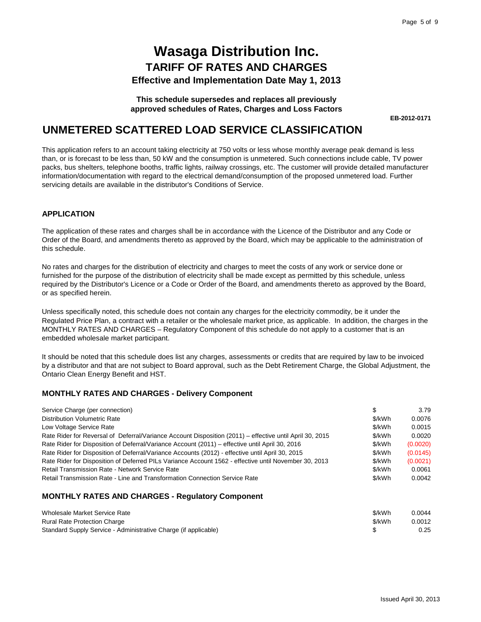**This schedule supersedes and replaces all previously approved schedules of Rates, Charges and Loss Factors**

**EB-2012-0171** 

### **UNMETERED SCATTERED LOAD SERVICE CLASSIFICATION**

This application refers to an account taking electricity at 750 volts or less whose monthly average peak demand is less than, or is forecast to be less than, 50 kW and the consumption is unmetered. Such connections include cable, TV power packs, bus shelters, telephone booths, traffic lights, railway crossings, etc. The customer will provide detailed manufacturer information/documentation with regard to the electrical demand/consumption of the proposed unmetered load. Further servicing details are available in the distributor's Conditions of Service.

#### **APPLICATION**

The application of these rates and charges shall be in accordance with the Licence of the Distributor and any Code or Order of the Board, and amendments thereto as approved by the Board, which may be applicable to the administration of this schedule.

No rates and charges for the distribution of electricity and charges to meet the costs of any work or service done or furnished for the purpose of the distribution of electricity shall be made except as permitted by this schedule, unless required by the Distributor's Licence or a Code or Order of the Board, and amendments thereto as approved by the Board, or as specified herein.

Unless specifically noted, this schedule does not contain any charges for the electricity commodity, be it under the Regulated Price Plan, a contract with a retailer or the wholesale market price, as applicable. In addition, the charges in the MONTHLY RATES AND CHARGES – Regulatory Component of this schedule do not apply to a customer that is an embedded wholesale market participant.

It should be noted that this schedule does list any charges, assessments or credits that are required by law to be invoiced by a distributor and that are not subject to Board approval, such as the Debt Retirement Charge, the Global Adjustment, the Ontario Clean Energy Benefit and HST.

#### **MONTHLY RATES AND CHARGES - Delivery Component**

| Service Charge (per connection)                                                                          | S      | 3.79     |
|----------------------------------------------------------------------------------------------------------|--------|----------|
| <b>Distribution Volumetric Rate</b>                                                                      | \$/kWh | 0.0076   |
| Low Voltage Service Rate                                                                                 | \$/kWh | 0.0015   |
| Rate Rider for Reversal of Deferral/Variance Account Disposition (2011) – effective until April 30, 2015 | \$/kWh | 0.0020   |
| Rate Rider for Disposition of Deferral/Variance Account (2011) – effective until April 30, 2016          | \$/kWh | (0.0020) |
| Rate Rider for Disposition of Deferral/Variance Accounts (2012) - effective until April 30, 2015         | \$/kWh | (0.0145) |
| Rate Rider for Disposition of Deferred PILs Variance Account 1562 - effective until November 30, 2013    | \$/kWh | (0.0021) |
| Retail Transmission Rate - Network Service Rate                                                          | \$/kWh | 0.0061   |
| Retail Transmission Rate - Line and Transformation Connection Service Rate                               | \$/kWh | 0.0042   |

| Wholesale Market Service Rate                                   | \$/kWh | 0.0044 |
|-----------------------------------------------------------------|--------|--------|
| <b>Rural Rate Protection Charge</b>                             | \$/kWh | 0.0012 |
| Standard Supply Service - Administrative Charge (if applicable) |        | 0.25   |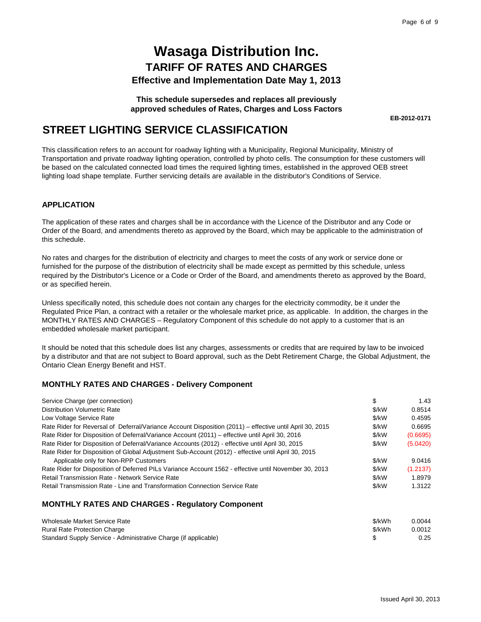**This schedule supersedes and replaces all previously approved schedules of Rates, Charges and Loss Factors**

**EB-2012-0171** 

## **STREET LIGHTING SERVICE CLASSIFICATION**

This classification refers to an account for roadway lighting with a Municipality, Regional Municipality, Ministry of Transportation and private roadway lighting operation, controlled by photo cells. The consumption for these customers will be based on the calculated connected load times the required lighting times, established in the approved OEB street lighting load shape template. Further servicing details are available in the distributor's Conditions of Service.

#### **APPLICATION**

The application of these rates and charges shall be in accordance with the Licence of the Distributor and any Code or Order of the Board, and amendments thereto as approved by the Board, which may be applicable to the administration of this schedule.

No rates and charges for the distribution of electricity and charges to meet the costs of any work or service done or furnished for the purpose of the distribution of electricity shall be made except as permitted by this schedule, unless required by the Distributor's Licence or a Code or Order of the Board, and amendments thereto as approved by the Board, or as specified herein.

Unless specifically noted, this schedule does not contain any charges for the electricity commodity, be it under the Regulated Price Plan, a contract with a retailer or the wholesale market price, as applicable. In addition, the charges in the MONTHLY RATES AND CHARGES – Regulatory Component of this schedule do not apply to a customer that is an embedded wholesale market participant.

It should be noted that this schedule does list any charges, assessments or credits that are required by law to be invoiced by a distributor and that are not subject to Board approval, such as the Debt Retirement Charge, the Global Adjustment, the Ontario Clean Energy Benefit and HST.

#### **MONTHLY RATES AND CHARGES - Delivery Component**

| Service Charge (per connection)                                                                          | \$      | 1.43     |
|----------------------------------------------------------------------------------------------------------|---------|----------|
| <b>Distribution Volumetric Rate</b>                                                                      | $$$ /kW | 0.8514   |
| Low Voltage Service Rate                                                                                 | \$/kW   | 0.4595   |
| Rate Rider for Reversal of Deferral/Variance Account Disposition (2011) – effective until April 30, 2015 | \$/kW   | 0.6695   |
| Rate Rider for Disposition of Deferral/Variance Account (2011) – effective until April 30, 2016          | \$/kW   | (0.6695) |
| Rate Rider for Disposition of Deferral/Variance Accounts (2012) - effective until April 30, 2015         | \$/kW   | (5.0420) |
| Rate Rider for Disposition of Global Adjustment Sub-Account (2012) - effective until April 30, 2015      |         |          |
| Applicable only for Non-RPP Customers                                                                    | \$/kW   | 9.0416   |
| Rate Rider for Disposition of Deferred PILs Variance Account 1562 - effective until November 30, 2013    | \$/kW   | (1.2137) |
| Retail Transmission Rate - Network Service Rate                                                          | \$/kW   | 1.8979   |
| Retail Transmission Rate - Line and Transformation Connection Service Rate                               | \$/kW   | 1.3122   |

| Wholesale Market Service Rate                                   | \$/kWh | 0.0044 |
|-----------------------------------------------------------------|--------|--------|
| <b>Rural Rate Protection Charge</b>                             | \$/kWh | 0.0012 |
| Standard Supply Service - Administrative Charge (if applicable) |        | 0.25   |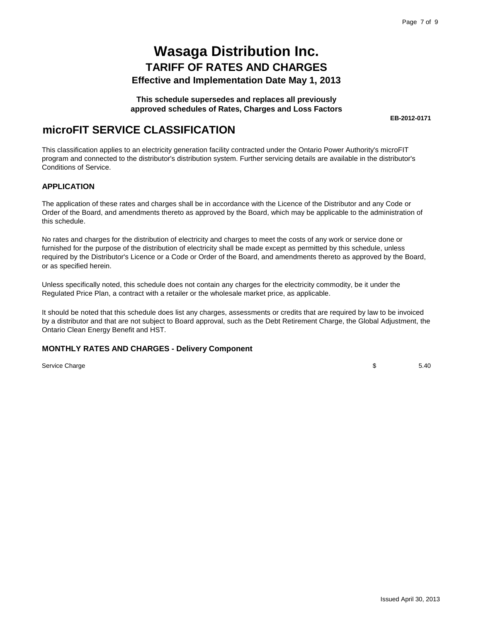#### **This schedule supersedes and replaces all previously approved schedules of Rates, Charges and Loss Factors**

**EB-2012-0171** 

## **microFIT SERVICE CLASSIFICATION**

This classification applies to an electricity generation facility contracted under the Ontario Power Authority's microFIT program and connected to the distributor's distribution system. Further servicing details are available in the distributor's Conditions of Service.

#### **APPLICATION**

The application of these rates and charges shall be in accordance with the Licence of the Distributor and any Code or Order of the Board, and amendments thereto as approved by the Board, which may be applicable to the administration of this schedule.

No rates and charges for the distribution of electricity and charges to meet the costs of any work or service done or furnished for the purpose of the distribution of electricity shall be made except as permitted by this schedule, unless required by the Distributor's Licence or a Code or Order of the Board, and amendments thereto as approved by the Board, or as specified herein.

Unless specifically noted, this schedule does not contain any charges for the electricity commodity, be it under the Regulated Price Plan, a contract with a retailer or the wholesale market price, as applicable.

It should be noted that this schedule does list any charges, assessments or credits that are required by law to be invoiced by a distributor and that are not subject to Board approval, such as the Debt Retirement Charge, the Global Adjustment, the Ontario Clean Energy Benefit and HST.

#### **MONTHLY RATES AND CHARGES - Delivery Component**

Service Charge

 $$ 5.40$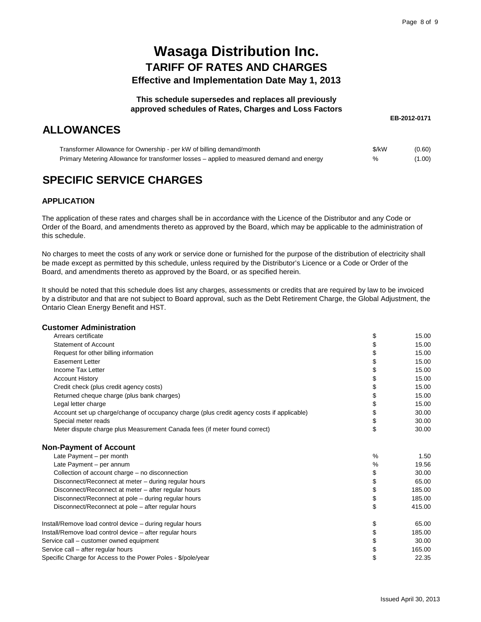#### **This schedule supersedes and replaces all previously approved schedules of Rates, Charges and Loss Factors**

## **ALLOWANCES**

**EB-2012-0171** 

| Transformer Allowance for Ownership - per kW of billing demand/month                      | \$/kW | (0.60) |
|-------------------------------------------------------------------------------------------|-------|--------|
| Primary Metering Allowance for transformer losses – applied to measured demand and energy | %     | (1.00) |

## **SPECIFIC SERVICE CHARGES**

#### **APPLICATION**

The application of these rates and charges shall be in accordance with the Licence of the Distributor and any Code or Order of the Board, and amendments thereto as approved by the Board, which may be applicable to the administration of this schedule.

No charges to meet the costs of any work or service done or furnished for the purpose of the distribution of electricity shall be made except as permitted by this schedule, unless required by the Distributor's Licence or a Code or Order of the Board, and amendments thereto as approved by the Board, or as specified herein.

It should be noted that this schedule does list any charges, assessments or credits that are required by law to be invoiced by a distributor and that are not subject to Board approval, such as the Debt Retirement Charge, the Global Adjustment, the Ontario Clean Energy Benefit and HST.

#### **Customer Administration**

| Arrears certificate                                                                       | \$   | 15.00  |
|-------------------------------------------------------------------------------------------|------|--------|
| <b>Statement of Account</b>                                                               |      | 15.00  |
| Request for other billing information                                                     | \$   | 15.00  |
| <b>Easement Letter</b>                                                                    | \$   | 15.00  |
| Income Tax Letter                                                                         | \$   | 15.00  |
| <b>Account History</b>                                                                    | \$   | 15.00  |
| Credit check (plus credit agency costs)                                                   | \$   | 15.00  |
| Returned cheque charge (plus bank charges)                                                | \$   | 15.00  |
| Legal letter charge                                                                       | \$   | 15.00  |
| Account set up charge/change of occupancy charge (plus credit agency costs if applicable) | \$   | 30.00  |
| Special meter reads                                                                       | \$   | 30.00  |
| Meter dispute charge plus Measurement Canada fees (if meter found correct)                | \$   | 30.00  |
| <b>Non-Payment of Account</b>                                                             |      |        |
| Late Payment - per month                                                                  | $\%$ | 1.50   |
| Late Payment - per annum                                                                  | $\%$ | 19.56  |
| Collection of account charge - no disconnection                                           | \$   | 30.00  |
| Disconnect/Reconnect at meter - during regular hours                                      | \$   | 65.00  |
| Disconnect/Reconnect at meter - after regular hours                                       | \$   | 185.00 |
| Disconnect/Reconnect at pole - during regular hours                                       | \$   | 185.00 |
| Disconnect/Reconnect at pole – after regular hours                                        | \$   | 415.00 |
| Install/Remove load control device - during regular hours                                 | \$   | 65.00  |
| Install/Remove load control device - after regular hours                                  | \$   | 185.00 |
| Service call – customer owned equipment                                                   | \$   | 30.00  |
| Service call - after regular hours                                                        | \$   | 165.00 |
| Specific Charge for Access to the Power Poles - \$/pole/year                              | \$   | 22.35  |